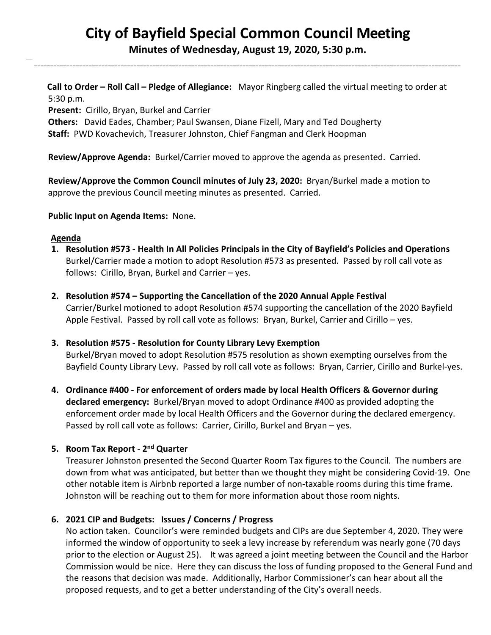# **City of Bayfield Special Common Council Meeting**

**Minutes of Wednesday, August 19, 2020, 5:30 p.m.** 

\_\_\_\_\_\_\_\_\_\_\_\_\_\_\_\_\_\_\_\_\_\_\_\_\_\_\_\_\_\_\_\_\_\_\_\_\_\_\_\_\_\_\_\_\_\_\_\_\_\_\_\_\_\_\_\_\_\_\_\_\_\_\_\_\_\_\_\_\_\_\_\_\_\_\_\_\_\_\_\_\_\_\_\_\_\_\_\_\_\_\_\_\_\_\_\_\_\_\_\_\_\_\_\_\_\_\_\_\_\_\_\_\_\_\_\_\_\_\_\_\_\_\_\_\_\_\_\_\_\_\_\_\_

 **Call to Order – Roll Call – Pledge of Allegiance:** Mayor Ringberg called the virtual meeting to order at 5:30 p.m.

**Present:** Cirillo, Bryan, Burkel and Carrier

 **Others:** David Eades, Chamber; Paul Swansen, Diane Fizell, Mary and Ted Dougherty  **Staff:** PWD Kovachevich, Treasurer Johnston, Chief Fangman and Clerk Hoopman

**Review/Approve Agenda:** Burkel/Carrier moved to approve the agenda as presented. Carried.

 **Review/Approve the Common Council minutes of July 23, 2020:** Bryan/Burkel made a motion to approve the previous Council meeting minutes as presented. Carried.

## **Public Input on Agenda Items:** None.

#### **Agenda**

- **1. Resolution #573 - Health In All Policies Principals in the City of Bayfield's Policies and Operations** Burkel/Carrier made a motion to adopt Resolution #573 as presented. Passed by roll call vote as follows: Cirillo, Bryan, Burkel and Carrier – yes.
- **2. Resolution #574 – Supporting the Cancellation of the 2020 Annual Apple Festival**  Carrier/Burkel motioned to adopt Resolution #574 supporting the cancellation of the 2020 Bayfield Apple Festival. Passed by roll call vote as follows: Bryan, Burkel, Carrier and Cirillo – yes.
- **3. Resolution #575 - Resolution for County Library Levy Exemption** Burkel/Bryan moved to adopt Resolution #575 resolution as shown exempting ourselves from the Bayfield County Library Levy. Passed by roll call vote as follows: Bryan, Carrier, Cirillo and Burkel-yes.
- **4. Ordinance #400 - For enforcement of orders made by local Health Officers & Governor during declared emergency:** Burkel/Bryan moved to adopt Ordinance #400 as provided adopting the enforcement order made by local Health Officers and the Governor during the declared emergency. Passed by roll call vote as follows: Carrier, Cirillo, Burkel and Bryan – yes.

# **5. Room Tax Report - 2 nd Quarter**

Treasurer Johnston presented the Second Quarter Room Tax figures to the Council. The numbers are down from what was anticipated, but better than we thought they might be considering Covid-19. One other notable item is Airbnb reported a large number of non-taxable rooms during this time frame. Johnston will be reaching out to them for more information about those room nights.

# **6. 2021 CIP and Budgets: Issues / Concerns / Progress**

No action taken. Councilor's were reminded budgets and CIPs are due September 4, 2020. They were informed the window of opportunity to seek a levy increase by referendum was nearly gone (70 days prior to the election or August 25). It was agreed a joint meeting between the Council and the Harbor Commission would be nice. Here they can discuss the loss of funding proposed to the General Fund and the reasons that decision was made. Additionally, Harbor Commissioner's can hear about all the proposed requests, and to get a better understanding of the City's overall needs.